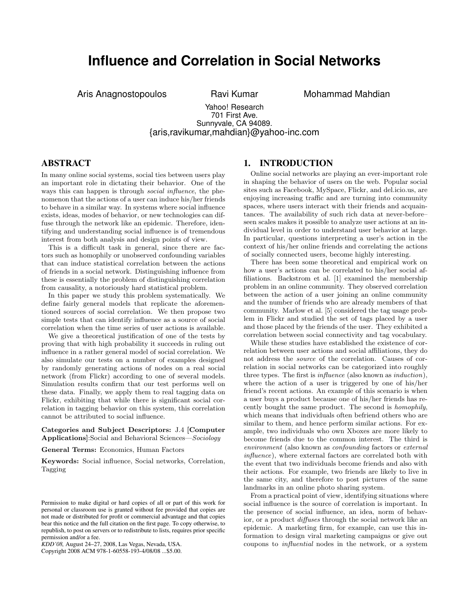# **Influence and Correlation in Social Networks**

Aris Anagnostopoulos **Ravi Kumar** Mohammad Mahdian

Yahoo! Research 701 First Ave. Sunnyvale, CA 94089. {aris,ravikumar,mahdian}@yahoo-inc.com

# ABSTRACT

In many online social systems, social ties between users play an important role in dictating their behavior. One of the ways this can happen is through *social influence*, the phenomenon that the actions of a user can induce his/her friends to behave in a similar way. In systems where social influence exists, ideas, modes of behavior, or new technologies can diffuse through the network like an epidemic. Therefore, identifying and understanding social influence is of tremendous interest from both analysis and design points of view.

This is a difficult task in general, since there are factors such as homophily or unobserved confounding variables that can induce statistical correlation between the actions of friends in a social network. Distinguishing influence from these is essentially the problem of distinguishing correlation from causality, a notoriously hard statistical problem.

In this paper we study this problem systematically. We define fairly general models that replicate the aforementioned sources of social correlation. We then propose two simple tests that can identify influence as a source of social correlation when the time series of user actions is available.

We give a theoretical justification of one of the tests by proving that with high probability it succeeds in ruling out influence in a rather general model of social correlation. We also simulate our tests on a number of examples designed by randomly generating actions of nodes on a real social network (from Flickr) according to one of several models. Simulation results confirm that our test performs well on these data. Finally, we apply them to real tagging data on Flickr, exhibiting that while there is significant social correlation in tagging behavior on this system, this correlation cannot be attributed to social influence.

Categories and Subject Descriptors: J.4 [Computer Applications]:Social and Behavioral Sciences—Sociology

General Terms: Economics, Human Factors

Keywords: Social influence, Social networks, Correlation, Tagging

Copyright 2008 ACM 978-1-60558-193-4/08/08 ...\$5.00.

# 1. INTRODUCTION

Online social networks are playing an ever-important role in shaping the behavior of users on the web. Popular social sites such as Facebook, MySpace, Flickr, and del.icio.us, are enjoying increasing traffic and are turning into community spaces, where users interact with their friends and acquaintances. The availability of such rich data at never-before– seen scales makes it possible to analyze user actions at an individual level in order to understand user behavior at large. In particular, questions interpreting a user's action in the context of his/her online friends and correlating the actions of socially connected users, become highly interesting.

There has been some theoretical and empirical work on how a user's actions can be correlated to his/her social affiliations. Backstrom et al. [1] examined the membership problem in an online community. They observed correlation between the action of a user joining an online community and the number of friends who are already members of that community. Marlow et al. [5] considered the tag usage problem in Flickr and studied the set of tags placed by a user and those placed by the friends of the user. They exhibited a correlation between social connectivity and tag vocabulary.

While these studies have established the existence of correlation between user actions and social affiliations, they do not address the source of the correlation. Causes of correlation in social networks can be categorized into roughly three types. The first is influence (also known as induction), where the action of a user is triggered by one of his/her friend's recent actions. An example of this scenario is when a user buys a product because one of his/her friends has recently bought the same product. The second is homophily, which means that individuals often befriend others who are similar to them, and hence perform similar actions. For example, two individuals who own Xboxes are more likely to become friends due to the common interest. The third is environment (also known as confounding factors or external influence), where external factors are correlated both with the event that two individuals become friends and also with their actions. For example, two friends are likely to live in the same city, and therefore to post pictures of the same landmarks in an online photo sharing system.

From a practical point of view, identifying situations where social influence is the source of correlation is important. In the presence of social influence, an idea, norm of behavior, or a product diffuses through the social network like an epidemic. A marketing firm, for example, can use this information to design viral marketing campaigns or give out coupons to influential nodes in the network, or a system

Permission to make digital or hard copies of all or part of this work for personal or classroom use is granted without fee provided that copies are not made or distributed for profit or commercial advantage and that copies bear this notice and the full citation on the first page. To copy otherwise, to republish, to post on servers or to redistribute to lists, requires prior specific permission and/or a fee.

*KDD'08,* August 24–27, 2008, Las Vegas, Nevada, USA.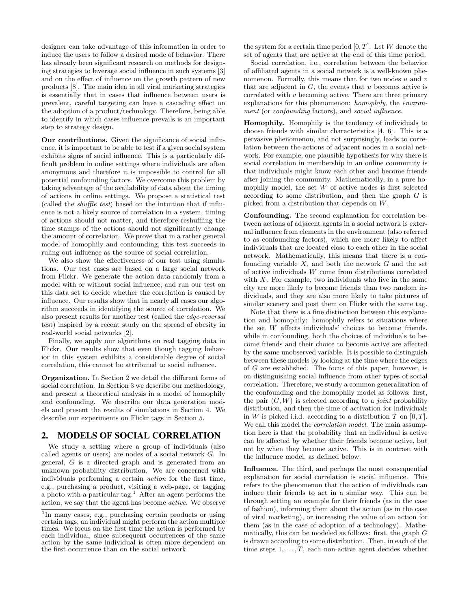designer can take advantage of this information in order to induce the users to follow a desired mode of behavior. There has already been significant research on methods for designing strategies to leverage social influence in such systems [3] and on the effect of influence on the growth pattern of new products [8]. The main idea in all viral marketing strategies is essentially that in cases that influence between users is prevalent, careful targeting can have a cascading effect on the adoption of a product/technology. Therefore, being able to identify in which cases influence prevails is an important step to strategy design.

Our contributions. Given the significance of social influence, it is important to be able to test if a given social system exhibits signs of social influence. This is a particularly difficult problem in online settings where individuals are often anonymous and therefore it is impossible to control for all potential confounding factors. We overcome this problem by taking advantage of the availability of data about the timing of actions in online settings. We propose a statistical test (called the shuffle test) based on the intuition that if influence is not a likely source of correlation in a system, timing of actions should not matter, and therefore reshuffling the time stamps of the actions should not significantly change the amount of correlation. We prove that in a rather general model of homophily and confounding, this test succeeds in ruling out influence as the source of social correlation.

We also show the effectiveness of our test using simulations. Our test cases are based on a large social network from Flickr. We generate the action data randomly from a model with or without social influence, and run our test on this data set to decide whether the correlation is caused by influence. Our results show that in nearly all cases our algorithm succeeds in identifying the source of correlation. We also present results for another test (called the edge-reversal test) inspired by a recent study on the spread of obesity in real-world social networks [2].

Finally, we apply our algorithms on real tagging data in Flickr. Our results show that even though tagging behavior in this system exhibits a considerable degree of social correlation, this cannot be attributed to social influence.

Organization. In Section 2 we detail the different forms of social correlation. In Section 3 we describe our methodology, and present a theoretical analysis in a model of homophily and confounding. We describe our data generation models and present the results of simulations in Section 4. We describe our experiments on Flickr tags in Section 5.

# 2. MODELS OF SOCIAL CORRELATION

We study a setting where a group of individuals (also called agents or users) are nodes of a social network G. In general, G is a directed graph and is generated from an unknown probability distribution. We are concerned with individuals performing a certain action for the first time, e.g., purchasing a product, visiting a web-page, or tagging a photo with a particular tag.<sup>1</sup> After an agent performs the action, we say that the agent has become active. We observe the system for a certain time period  $[0, T]$ . Let W denote the set of agents that are active at the end of this time period.

Social correlation, i.e., correlation between the behavior of affiliated agents in a social network is a well-known phenomenon. Formally, this means that for two nodes  $u$  and  $v$ that are adjacent in  $G$ , the events that u becomes active is correlated with  $v$  becoming active. There are three primary explanations for this phenomenon: *homophily*, the *environ*ment (or *confounding* factors), and *social influence*.

Homophily. Homophily is the tendency of individuals to choose friends with similar characteristics [4, 6]. This is a pervasive phenomenon, and not surprisingly, leads to correlation between the actions of adjacent nodes in a social network. For example, one plausible hypothesis for why there is social correlation in membership in an online community is that individuals might know each other and become friends after joining the community. Mathematically, in a pure homophily model, the set  $W$  of active nodes is first selected according to some distribution, and then the graph G is picked from a distribution that depends on W.

Confounding. The second explanation for correlation between actions of adjacent agents in a social network is external influence from elements in the environment (also referred to as confounding factors), which are more likely to affect individuals that are located close to each other in the social network. Mathematically, this means that there is a confounding variable  $X$ , and both the network  $G$  and the set of active individuals W come from distributions correlated with  $X$ . For example, two individuals who live in the same city are more likely to become friends than two random individuals, and they are also more likely to take pictures of similar scenery and post them on Flickr with the same tag.

Note that there is a fine distinction between this explanation and homophily: homophily refers to situations where the set  $W$  affects individuals' choices to become friends, while in confounding, both the choices of individuals to become friends and their choice to become active are affected by the same unobserved variable. It is possible to distinguish between these models by looking at the time where the edges of G are established. The focus of this paper, however, is on distinguishing social influence from other types of social correlation. Therefore, we study a common generalization of the confounding and the homophily model as follows: first, the pair  $(G, W)$  is selected according to a *joint* probability distribution, and then the time of activation for individuals in W is picked i.i.d. according to a distribution  $T$  on [0, T]. We call this model the *correlation model*. The main assumption here is that the probability that an individual is active can be affected by whether their friends become active, but not by when they become active. This is in contrast with the influence model, as defined below.

Influence. The third, and perhaps the most consequential explanation for social correlation is social influence. This refers to the phenomenon that the action of individuals can induce their friends to act in a similar way. This can be through setting an example for their friends (as in the case of fashion), informing them about the action (as in the case of viral marketing), or increasing the value of an action for them (as in the case of adoption of a technology). Mathematically, this can be modeled as follows: first, the graph G is drawn according to some distribution. Then, in each of the time steps  $1, \ldots, T$ , each non-active agent decides whether

<sup>&</sup>lt;sup>1</sup>In many cases, e.g., purchasing certain products or using certain tags, an individual might perform the action multiple times. We focus on the first time the action is performed by each individual, since subsequent occurrences of the same action by the same individual is often more dependent on the first occurrence than on the social network.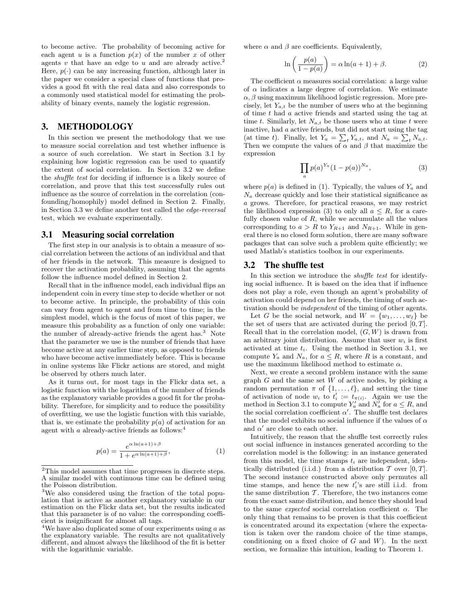to become active. The probability of becoming active for each agent u is a function  $p(x)$  of the number x of other agents v that have an edge to u and are already active.<sup>2</sup> Here,  $p(\cdot)$  can be any increasing function, although later in the paper we consider a special class of functions that provides a good fit with the real data and also corresponds to a commonly used statistical model for estimating the probability of binary events, namely the logistic regression.

# 3. METHODOLOGY

In this section we present the methodology that we use to measure social correlation and test whether influence is a source of such correlation. We start in Section 3.1 by explaining how logistic regression can be used to quantify the extent of social correlation. In Section 3.2 we define the shuffle test for deciding if influence is a likely source of correlation, and prove that this test successfully rules out influence as the source of correlation in the correlation (confounding/homophily) model defined in Section 2. Finally, in Section 3.3 we define another test called the edge-reversal test, which we evaluate experimentally.

#### 3.1 Measuring social correlation

The first step in our analysis is to obtain a measure of social correlation between the actions of an individual and that of her friends in the network. This measure is designed to recover the activation probability, assuming that the agents follow the influence model defined in Section 2.

Recall that in the influence model, each individual flips an independent coin in every time step to decide whether or not to become active. In principle, the probability of this coin can vary from agent to agent and from time to time; in the simplest model, which is the focus of most of this paper, we measure this probability as a function of only one variable: the number of already-active friends the agent has.<sup>3</sup> Note that the parameter we use is the number of friends that have become active at any earlier time step, as opposed to friends who have become active immediately before. This is because in online systems like Flickr actions are stored, and might be observed by others much later.

As it turns out, for most tags in the Flickr data set, a logistic function with the logarithm of the number of friends as the explanatory variable provides a good fit for the probability. Therefore, for simplicity and to reduce the possibility of overfitting, we use the logistic function with this variable, that is, we estimate the probability  $p(a)$  of activation for an agent with a already-active friends as follows:<sup>4</sup>

$$
p(a) = \frac{e^{\alpha \ln(a+1) + \beta}}{1 + e^{\alpha \ln(a+1) + \beta}},
$$
\n(1)

where  $\alpha$  and  $\beta$  are coefficients. Equivalently,

$$
\ln\left(\frac{p(a)}{1-p(a)}\right) = \alpha \ln(a+1) + \beta. \tag{2}
$$

The coefficient  $\alpha$  measures social correlation: a large value of  $\alpha$  indicates a large degree of correlation. We estimate  $\alpha, \beta$  using maximum likelihood logistic regression. More precisely, let  $Y_{a,t}$  be the number of users who at the beginning of time t had a active friends and started using the tag at time t. Similarly, let  $N_{a,t}$  be those users who at time t were inactive, had a active friends, but did not start using the tag (at time t). Finally, let  $Y_a = \sum_t Y_{a,t}$ , and  $N_a = \sum_t N_{a,t}$ . Then we compute the values of  $\alpha$  and  $\beta$  that maximize the expression

$$
\prod_{a} p(a)^{Y_a} (1 - p(a))^{N_a},\tag{3}
$$

where  $p(a)$  is defined in (1). Typically, the values of  $Y_a$  and  $N_a$  decrease quickly and lose their statistical significance as a grows. Therefore, for practical reasons, we may restrict the likelihood expression (3) to only all  $a \leq R$ , for a carefully chosen value of  $R$ , while we accumulate all the values corresponding to  $a > R$  to  $Y_{R+1}$  and  $N_{R+1}$ . While in general there is no closed form solution, there are many software packages that can solve such a problem quite efficiently; we used Matlab's statistics toolbox in our experiments.

## 3.2 The shuffle test

In this section we introduce the shuffle test for identifying social influence. It is based on the idea that if influence does not play a role, even though an agent's probability of activation could depend on her friends, the timing of such activation should be independent of the timing of other agents.

Let G be the social network, and  $W = \{w_1, \ldots, w_\ell\}$  be the set of users that are activated during the period  $[0, T]$ . Recall that in the correlation model,  $(G, W)$  is drawn from an arbitrary joint distribution. Assume that user  $w_i$  is first activated at time  $t_i$ . Using the method in Section 3.1, we compute  $Y_a$  and  $N_a$ , for  $a \leq R$ , where R is a constant, and use the maximum likelihood method to estimate  $\alpha$ .

Next, we create a second problem instance with the same graph  $G$  and the same set  $W$  of active nodes, by picking a random permutation  $\pi$  of  $\{1, \ldots, \ell\}$ , and setting the time of activation of node  $w_i$  to  $t'_i := t_{\pi(i)}$ . Again we use the method in Section 3.1 to compute  $Y'_a$  and  $N'_a$  for  $a \leq R$ , and the social correlation coefficient  $\alpha'$ . The shuffle test declares that the model exhibits no social influence if the values of  $\alpha$ and  $\alpha'$  are close to each other.

Intuitively, the reason that the shuffle test correctly rules out social influence in instances generated according to the correlation model is the following: in an instance generated from this model, the time stamps  $t_i$  are independent, identically distributed (i.i.d.) from a distribution  $\mathcal T$  over  $[0, T]$ . The second instance constructed above only permutes all time stamps, and hence the new  $t_i$ 's are still i.i.d. from the same distribution  $\mathcal T$ . Therefore, the two instances come from the exact same distribution, and hence they should lead to the same *expected* social correlation coefficient  $\alpha$ . The only thing that remains to be proven is that this coefficient is concentrated around its expectation (where the expectation is taken over the random choice of the time stamps, conditioning on a fixed choice of  $G$  and  $W$ ). In the next section, we formalize this intuition, leading to Theorem 1.

 $2$ This model assumes that time progresses in discrete steps. A similar model with continuous time can be defined using the Poisson distribution.

<sup>&</sup>lt;sup>3</sup>We also considered using the fraction of the total population that is active as another explanatory variable in our estimation on the Flickr data set, but the results indicated that this parameter is of no value: the corresponding coefficient is insignificant for almost all tags.

<sup>&</sup>lt;sup>4</sup>We have also duplicated some of our experiments using  $a$  as the explanatory variable. The results are not qualitatively different, and almost always the likelihood of the fit is better with the logarithmic variable.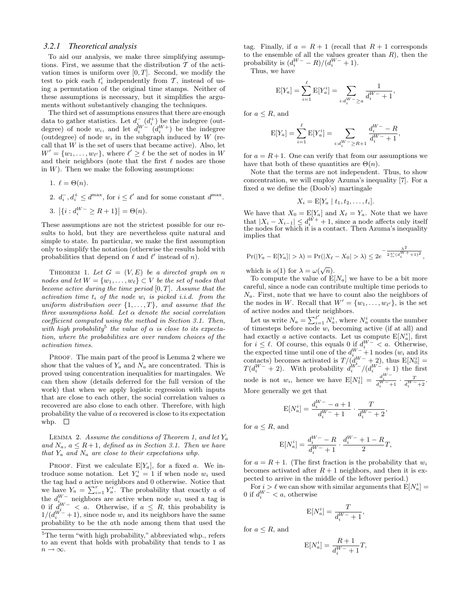#### *3.2.1 Theoretical analysis*

To aid our analysis, we make three simplifying assumptions. First, we assume that the distribution  $\mathcal T$  of the activation times is uniform over  $[0, T]$ . Second, we modify the test to pick each  $t_i'$  independently from  $\mathcal{T}$ , instead of using a permutation of the original time stamps. Neither of these assumptions is necessary, but it simplifies the arguments without substantively changing the techniques.

The third set of assumptions ensures that there are enough data to gather statistics. Let  $d_{i...}^-(d_i^+)$  be the indegree (outdegree) of node  $w_i$ , and let  $d_i^{W- \infty}(d_i^{W+})$  be the indegree (outdegree) of node  $w_i$  in the subgraph induced by  $W$  (recall that  $W$  is the set of users that became active). Also, let  $W' = \{w_1, \ldots, w_{\ell'}\},\$  where  $\ell' \geq \ell$  be the set of nodes in W and their neighbors (note that the first  $\ell$  nodes are those in  $W$ ). Then we make the following assumptions:

1.  $\ell = \Theta(n)$ .

2.  $d_i^-, d_i^+ \leq d^{\max}$ , for  $i \leq \ell'$  and for some constant  $d^{\max}$ .

3. 
$$
|\{i : d_i^{W-} \ge R + 1\}| = \Theta(n)
$$
.

These assumptions are not the strictest possible for our results to hold, but they are nevertheless quite natural and simple to state. In particular, we make the first assumption only to simplify the notation (otherwise the results hold with probabilities that depend on  $\ell$  and  $\ell'$  instead of n).

THEOREM 1. Let  $G = (V, E)$  be a directed graph on n nodes and let  $W = \{w_1, \ldots, w_\ell\} \subset V$  be the set of nodes that become active during the time period  $[0, T]$ . Assume that the activation time  $t_i$  of the node  $w_i$  is picked i.i.d. from the uniform distribution over  $\{1, \ldots, T\}$ , and assume that the three assumptions hold. Let  $\alpha$  denote the social correlation coefficient computed using the method in Section 3.1. Then, with high probability<sup>5</sup> the value of  $\alpha$  is close to its expectation, where the probabilities are over random choices of the activation times.

PROOF. The main part of the proof is Lemma 2 where we show that the values of  $Y_a$  and  $N_a$  are concentrated. This is proved using concentration inequalities for martingales. We can then show (details deferred for the full version of the work) that when we apply logistic regression with inputs that are close to each other, the social correlation values  $\alpha$ recovered are also close to each other. Therefore, with high probability the value of  $\alpha$  recovered is close to its expectation whp.  $\square$ 

LEMMA 2. Assume the conditions of Theorem 1, and let  $Y_a$ and  $N_a$ ,  $a \leq R+1$ , defined as in Section 3.1. Then we have that  $Y_a$  and  $N_a$  are close to their expectations whp.

PROOF. First we calculate  $E[Y_a]$ , for a fixed a. We introduce some notation. Let  $Y_a^i = 1$  if when node  $w_i$  used the tag had a active neighbors and 0 otherwise. Notice that we have  $Y_a = \sum_{i=1}^r Y_a^i$ . The probability that exactly a of the  $d_{i_{\text{max}}}^{W-}$  neighbors are active when node  $w_i$  used a tag is 0 if  $d_i^{W-} < a$ . Otherwise, if  $a \leq R$ , this probability is  $1/(d_i^{W^-}+1)$ , since node  $w_i$  and its neighbors have the same probability to be the ath node among them that used the tag. Finally, if  $a = R + 1$  (recall that  $R + 1$  corresponds to the ensemble of all the values greater than  $R$ ), then the probability is  $(d_i^{W-} - R)/(d_i^{W-} + 1)$ .

Thus, we have

$$
E[Y_a] = \sum_{i=1}^{\ell} E[Y_a^i] = \sum_{i:d_i^{W^-} \ge a} \frac{1}{d_i^{W^-} + 1},
$$

for  $a \leq R$ , and

$$
E[Y_a] = \sum_{i=1}^{\ell} E[Y_a^i] = \sum_{i:d_i^W \ge R+1} \frac{d_i^{W-} - R}{d_i^{W-} + 1},
$$

for  $a = R + 1$ . One can verify that from our assumptions we have that both of these quantities are  $\Theta(n)$ .

Note that the terms are not independent. Thus, to show concentration, we will employ Azuma's inequality [7]. For a fixed a we define the (Doob's) martingale

$$
X_i = \mathrm{E}[Y_a \mid t_1, t_2, \ldots, t_i].
$$

We have that  $X_0 = E[Y_a]$  and  $X_\ell = Y_a$ . Note that we have that  $|X_i - X_{i-1}| \le d_i^{W+} + 1$ , since a node affects only itself the nodes for which it is a contact. Then Azuma's inequality implies that

$$
\Pr(|Y_a - \mathbb{E}[Y_a]| > \lambda) = \Pr(|X_{\ell} - X_0| > \lambda) \le 2e^{-\frac{\lambda^2}{2\sum (d_i^W + 1)^2}},
$$

which is  $o(1)$  for  $\lambda = \omega(\sqrt{n}).$ 

To compute the value of  $E[N_a]$  we have to be a bit more careful, since a node can contribute multiple time periods to  $N_a$ . First, note that we have to count also the neighbors of the nodes in W. Recall that  $W' = \{w_1, \ldots, w_{\ell'}\}$ , is the set of active nodes and their neighbors.

Let us write  $N_a = \sum_{i=1}^{\ell'} N_a^i$ , where  $N_a^i$  counts the number of timesteps before node  $w_i$  becoming active (if at all) and had exactly a active contacts. Let us compute  $E[N_a^i]$ , first for  $i \leq \ell$ . Of course, this equals 0 if  $d_i^{W-}$  $i^{\mathcal{W}-} < a$ . Otherwise, the expected time until one of the  $d_{i}^{W-}+1$  nodes  $(w_i$  and its contacts) becomes activated is  $T/(\dot{d}_i^{W-}+2)$ , thus  $E[N_0^i]=$  $T(d_i^{W-} + 2)$ . With probability  $d_i^{W-}/(d_i^{W-} + 1)$  the first node is not  $w_i$ , hence we have  $E[N_1^i] = \frac{d_i^{W^-}}{d_i^{W^-}+1} \cdot \frac{T}{d_i^{W^-}+2}$ . More generally we get that

$$
\mathbf{E}[N_a^i] = \frac{d_i^{W-} - a + 1}{d_i^{W-} + 1} \cdot \frac{T}{d_i^{W-} + 2},
$$

for  $a \leq R$ , and

$$
E[N_a^i] = \frac{d_i^{W-} - R}{d_i^{W-} + 1} \cdot \frac{d_i^{W-} + 1 - R}{2}T,
$$

for  $a = R + 1$ . (The first fraction is the probability that  $w_i$ becomes activated after  $R + 1$  neighbors, and then it is expected to arrive in the middle of the leftover period.)

For  $i > \ell$  we can show with similar arguments that  $E[N_a^i] =$ 0 if  $d_i^{W-} < a$ , otherwise

$$
\mathcal{E}[N_a^i] = \frac{T}{d_i^{W-} + 1},
$$

for  $a \leq R$ , and

$$
E[N_a^i] = \frac{R+1}{d_i^{W-}+1}T,
$$

 ${}^{5}{\rm The\ term}$  "with high probability," abbreviated whp., refers to an event that holds with probability that tends to 1 as  $n \to \infty$ .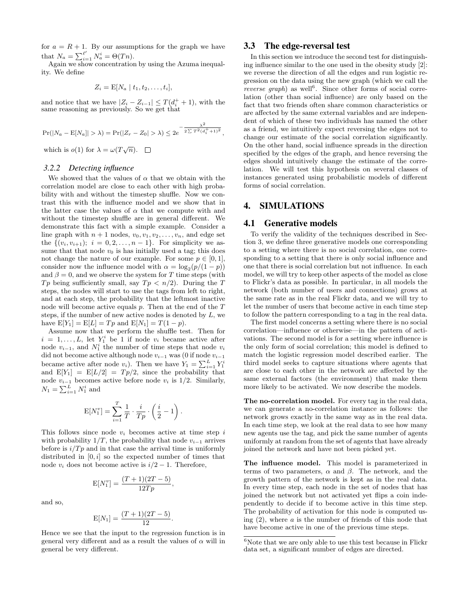for  $a = R + 1$ . By our assumptions for the graph we have that  $N_a = \sum_{i=1}^{\ell'} N_a^i = \Theta(Tn)$ .

Again we show concentration by using the Azuma inequality. We define

$$
Z_i = \mathrm{E}[N_a \mid t_1, t_2, \ldots, t_i],
$$

and notice that we have  $|Z_i - Z_{i-1}| \leq T(d_i^+ + 1)$ , with the same reasoning as previously. So we get that

$$
\Pr(|N_a - \mathrm{E}[N_a]| > \lambda) = \Pr(|Z_r - Z_0| > \lambda) \le 2e^{-\frac{\lambda^2}{2\sum T^2(d_i^+ + 1)^2}},
$$

which is  $o(1)$  for  $\lambda = \omega(T\sqrt{n}).$ 

#### *3.2.2 Detecting influence*

We showed that the values of  $\alpha$  that we obtain with the correlation model are close to each other with high probability with and without the timestep shuffle. Now we contrast this with the influence model and we show that in the latter case the values of  $\alpha$  that we compute with and without the timestep shuffle are in general different. We demonstrate this fact with a simple example. Consider a line graph with  $n + 1$  nodes,  $v_0, v_1, v_2, \ldots, v_n$ , and edge set the  $\{(v_i, v_{i+1}); i = 0, 2, ..., n-1\}$ . For simplicity we assume that that node  $v_0$  is has initially used a tag; this does not change the nature of our example. For some  $p \in [0, 1]$ , consider now the influence model with  $\alpha = \log_2(p/(1-p))$ and  $\beta = 0$ , and we observe the system for T time steps (with Tp being sufficiently small, say  $Tp < n/2$ ). During the T steps, the nodes will start to use the tags from left to right, and at each step, the probability that the leftmost inactive node will become active equals p. Then at the end of the T steps, if the number of new active nodes is denoted by  $L$ , we have  $E[Y_1] = E[L] = Tp$  and  $E[N_1] = T(1 - p)$ .

Assume now that we perform the shuffle test. Then for  $i = 1, \ldots, L$ , let  $Y_1^i$  be 1 if node  $v_i$  became active after node  $v_{i-1}$ , and  $N_1^i$  the number of time steps that node  $v_i$ did not become active although node  $v_{i-1}$  was (0 if node  $v_{i-1}$ ) became active after node  $v_i$ ). Then we have  $Y_1 = \sum_{i=1}^{L} Y_1^i$ and  $E[Y_1] = E[L/2] = Tp/2$ , since the probability that node  $v_{i-1}$  becomes active before node  $v_i$  is 1/2. Similarly,  $N_1 = \sum_{i=1}^{L} N_1^i$  and

$$
\mathbf{E}[N_1^v] = \sum_{i=1}^T \frac{1}{T} \cdot \frac{i}{Tp} \cdot \left(\frac{i}{2} - 1\right).
$$

This follows since node  $v_i$  becomes active at time step i with probability  $1/T$ , the probability that node  $v_{i-1}$  arrives before is  $i/Tp$  and in that case the arrival time is uniformly distributed in  $[0, i]$  so the expected number of times that node  $v_i$  does not become active is  $i/2 - 1$ . Therefore,

$$
E[N_1^v] = \frac{(T+1)(2T-5)}{12Tp},
$$

and so,

$$
E[N_1] = \frac{(T+1)(2T-5)}{12}
$$

.

Hence we see that the input to the regression function is in general very different and as a result the values of  $\alpha$  will in general be very different.

# 3.3 The edge-reversal test

In this section we introduce the second test for distinguishing influence similar to the one used in the obesity study [2]: we reverse the direction of all the edges and run logistic regression on the data using the new graph (which we call the reverse graph) as well<sup>6</sup>. Since other forms of social correlation (other than social influence) are only based on the fact that two friends often share common characteristics or are affected by the same external variables and are independent of which of these two individuals has named the other as a friend, we intuitively expect reversing the edges not to change our estimate of the social correlation significantly. On the other hand, social influence spreads in the direction specified by the edges of the graph, and hence reversing the edges should intuitively change the estimate of the correlation. We will test this hypothesis on several classes of instances generated using probabilistic models of different forms of social correlation.

# 4. SIMULATIONS

### 4.1 Generative models

To verify the validity of the techniques described in Section 3, we define three generative models one corresponding to a setting where there is no social correlation, one corresponding to a setting that there is only social influence and one that there is social correlation but not influence. In each model, we will try to keep other aspects of the model as close to Flickr's data as possible. In particular, in all models the network (both number of users and connections) grows at the same rate as in the real Flickr data, and we will try to let the number of users that become active in each time step to follow the pattern corresponding to a tag in the real data.

The first model concerns a setting where there is no social correlation—influence or otherwise—in the pattern of activations. The second model is for a setting where influence is the only form of social correlation; this model is defined to match the logistic regression model described earlier. The third model seeks to capture situations where agents that are close to each other in the network are affected by the same external factors (the environment) that make them more likely to be activated. We now describe the models.

The no-correlation model. For every tag in the real data, we can generate a no-correlation instance as follows: the network grows exactly in the same way as in the real data. In each time step, we look at the real data to see how many new agents use the tag, and pick the same number of agents uniformly at random from the set of agents that have already joined the network and have not been picked yet.

The influence model. This model is parameterized in terms of two parameters,  $\alpha$  and  $\beta$ . The network, and the growth pattern of the network is kept as in the real data. In every time step, each node in the set of nodes that has joined the network but not activated yet flips a coin independently to decide if to become active in this time step. The probability of activation for this node is computed using  $(2)$ , where a is the number of friends of this node that have become active in one of the previous time steps.

 $^6\rm{Note}$  that we are only able to use this test because in Flickr data set, a significant number of edges are directed.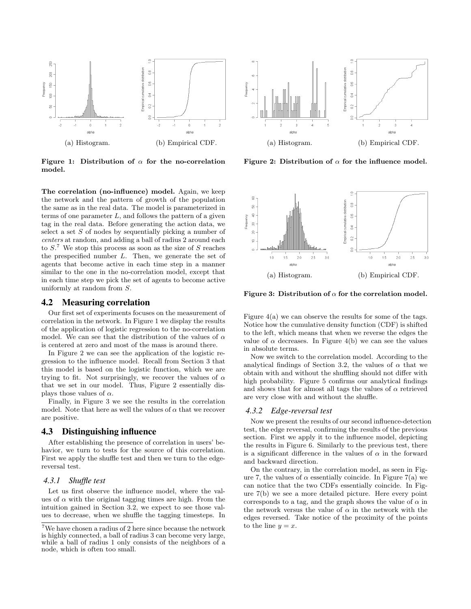

Figure 1: Distribution of  $\alpha$  for the no-correlation model.

The correlation (no-influence) model. Again, we keep the network and the pattern of growth of the population the same as in the real data. The model is parameterized in terms of one parameter  $L$ , and follows the pattern of a given tag in the real data. Before generating the action data, we select a set S of nodes by sequentially picking a number of centers at random, and adding a ball of radius 2 around each to  $S<sup>7</sup>$ . We stop this process as soon as the size of S reaches the prespecified number  $L$ . Then, we generate the set of agents that become active in each time step in a manner similar to the one in the no-correlation model, except that in each time step we pick the set of agents to become active uniformly at random from S.

#### 4.2 Measuring correlation

Our first set of experiments focuses on the measurement of correlation in the network. In Figure 1 we display the results of the application of logistic regression to the no-correlation model. We can see that the distribution of the values of  $\alpha$ is centered at zero and most of the mass is around there.

In Figure 2 we can see the application of the logistic regression to the influence model. Recall from Section 3 that this model is based on the logistic function, which we are trying to fit. Not surprisingly, we recover the values of  $\alpha$ that we set in our model. Thus, Figure 2 essentially displays those values of  $\alpha$ .

Finally, in Figure 3 we see the results in the correlation model. Note that here as well the values of  $\alpha$  that we recover are positive.

## 4.3 Distinguishing influence

After establishing the presence of correlation in users' behavior, we turn to tests for the source of this correlation. First we apply the shuffle test and then we turn to the edgereversal test.

#### *4.3.1 Shuffle test*

Let us first observe the influence model, where the values of  $\alpha$  with the original tagging times are high. From the intuition gained in Section 3.2, we expect to see those values to decrease, when we shuffle the tagging timesteps. In



Figure 2: Distribution of  $\alpha$  for the influence model.



Figure 3: Distribution of  $\alpha$  for the correlation model.

Figure 4(a) we can observe the results for some of the tags. Notice how the cumulative density function (CDF) is shifted to the left, which means that when we reverse the edges the value of  $\alpha$  decreases. In Figure 4(b) we can see the values in absolute terms.

Now we switch to the correlation model. According to the analytical findings of Section 3.2, the values of  $\alpha$  that we obtain with and without the shuffling should not differ with high probability. Figure 5 confirms our analytical findings and shows that for almost all tags the values of  $\alpha$  retrieved are very close with and without the shuffle.

## *4.3.2 Edge-reversal test*

Now we present the results of our second influence-detection test, the edge reversal, confirming the results of the previous section. First we apply it to the influence model, depicting the results in Figure 6. Similarly to the previous test, there is a significant difference in the values of  $\alpha$  in the forward and backward direction.

On the contrary, in the correlation model, as seen in Figure 7, the values of  $\alpha$  essentially coincide. In Figure 7(a) we can notice that the two CDFs essentially coincide. In Figure 7(b) we see a more detailed picture. Here every point corresponds to a tag, and the graph shows the value of  $\alpha$  in the network versus the value of  $\alpha$  in the network with the edges reversed. Take notice of the proximity of the points to the line  $y = x$ .

<sup>7</sup>We have chosen a radius of 2 here since because the network is highly connected, a ball of radius 3 can become very large, while a ball of radius 1 only consists of the neighbors of a node, which is often too small.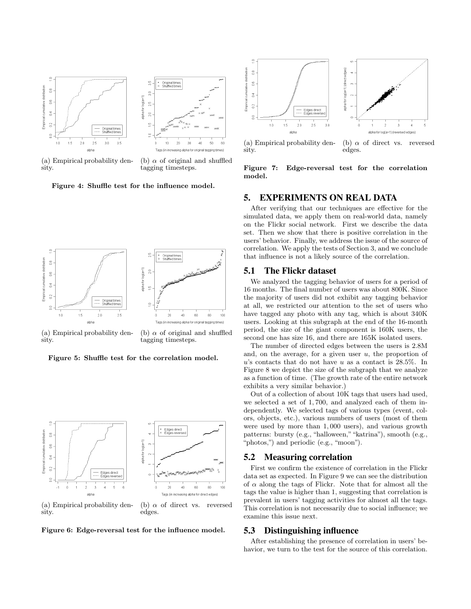

(a) Empirical probability density.



Figure 4: Shuffle test for the influence model.



(a) Empirical probability density.

sity.

(b)  $\alpha$  of original and shuffled tagging timesteps.



Figure 5: Shuffle test for the correlation model.

Figure 6: Edge-reversal test for the influence model.

edges.



(a) Empirical probability density.

(b)  $\alpha$  of direct vs. reversed edges.

Figure 7: Edge-reversal test for the correlation model.

## 5. EXPERIMENTS ON REAL DATA

After verifying that our techniques are effective for the simulated data, we apply them on real-world data, namely on the Flickr social network. First we describe the data set. Then we show that there is positive correlation in the users' behavior. Finally, we address the issue of the source of correlation. We apply the tests of Section 3, and we conclude that influence is not a likely source of the correlation.

# 5.1 The Flickr dataset

We analyzed the tagging behavior of users for a period of 16 months. The final number of users was about 800K. Since the majority of users did not exhibit any tagging behavior at all, we restricted our attention to the set of users who have tagged any photo with any tag, which is about 340K users. Looking at this subgraph at the end of the 16-month period, the size of the giant component is 160K users, the second one has size 16, and there are 165K isolated users.

The number of directed edges between the users is 2.8M and, on the average, for a given user  $u$ , the proportion of  $u$ 's contacts that do not have  $u$  as a contact is 28.5%. In Figure 8 we depict the size of the subgraph that we analyze as a function of time. (The growth rate of the entire network exhibits a very similar behavior.)

Out of a collection of about 10K tags that users had used, we selected a set of 1, 700, and analyzed each of them independently. We selected tags of various types (event, colors, objects, etc.), various numbers of users (most of them were used by more than 1, 000 users), and various growth patterns: bursty (e.g., "halloween,""katrina"), smooth (e.g., "photos,") and periodic (e.g., "moon").

## 5.2 Measuring correlation

First we confirm the existence of correlation in the Flickr data set as expected. In Figure 9 we can see the distribution of  $\alpha$  along the tags of Flickr. Note that for almost all the tags the value is higher than 1, suggesting that correlation is prevalent in users' tagging activities for almost all the tags. This correlation is not necessarily due to social influence; we examine this issue next.

#### 5.3 Distinguishing influence

After establishing the presence of correlation in users' behavior, we turn to the test for the source of this correlation.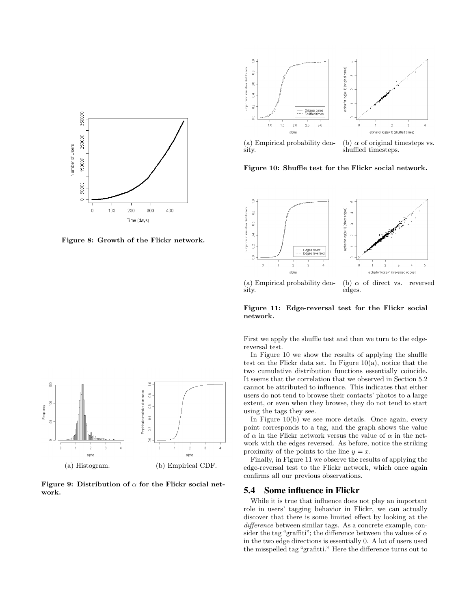

Figure 8: Growth of the Flickr network.



Figure 9: Distribution of  $\alpha$  for the Flickr social network.



(a) Empirical probability density.

(b)  $\alpha$  of original timesteps vs. shuffled timesteps.

#### Figure 10: Shuffle test for the Flickr social network.



(a) Empirical probability density. (b)  $\alpha$  of direct vs. reversed edges.

Figure 11: Edge-reversal test for the Flickr social network.

First we apply the shuffle test and then we turn to the edgereversal test.

In Figure 10 we show the results of applying the shuffle test on the Flickr data set. In Figure 10(a), notice that the two cumulative distribution functions essentially coincide. It seems that the correlation that we observed in Section 5.2 cannot be attributed to influence. This indicates that either users do not tend to browse their contacts' photos to a large extent, or even when they browse, they do not tend to start using the tags they see.

In Figure 10(b) we see more details. Once again, every point corresponds to a tag, and the graph shows the value of  $\alpha$  in the Flickr network versus the value of  $\alpha$  in the network with the edges reversed. As before, notice the striking proximity of the points to the line  $y = x$ .

Finally, in Figure 11 we observe the results of applying the edge-reversal test to the Flickr network, which once again confirms all our previous observations.

## 5.4 Some influence in Flickr

While it is true that influence does not play an important role in users' tagging behavior in Flickr, we can actually discover that there is some limited effect by looking at the difference between similar tags. As a concrete example, consider the tag "graffiti"; the difference between the values of  $\alpha$ in the two edge directions is essentially 0. A lot of users used the misspelled tag "grafitti." Here the difference turns out to